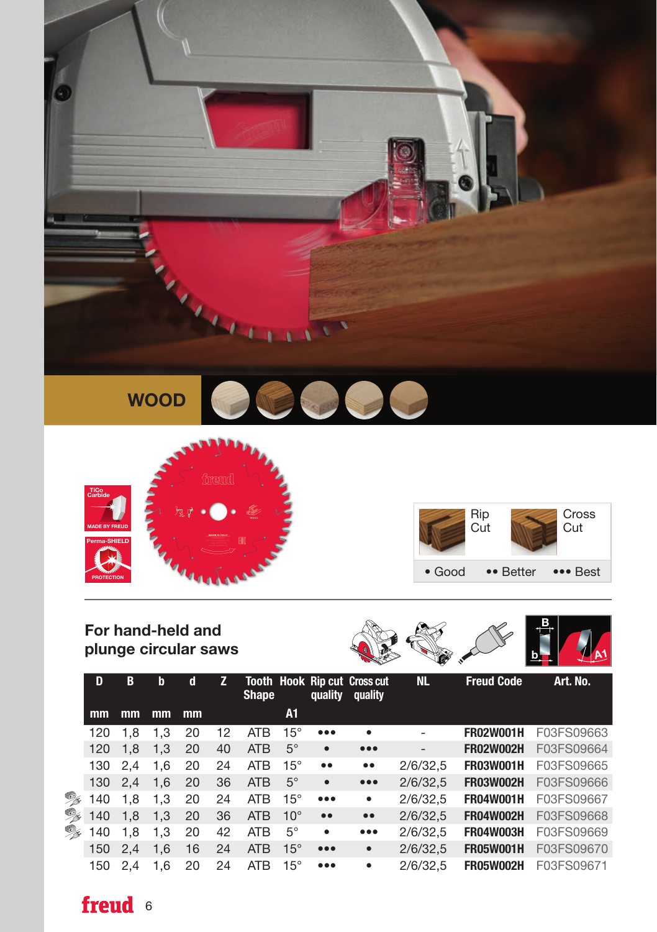

WOOD





# For hand-held and





|          | D   | B   | b   | d  | z. | <b>Shape</b> |              | quality                 | <b>Tooth Hook Rip cut Cross cut</b><br>quality | <b>NL</b> | <b>Freud Code</b> | Art. No.   |
|----------|-----|-----|-----|----|----|--------------|--------------|-------------------------|------------------------------------------------|-----------|-------------------|------------|
|          | mm  | mm  | mm  | mm |    |              | A1           |                         |                                                |           |                   |            |
|          | 120 | 1.8 | 1.3 | 20 | 12 | <b>ATB</b>   | $15^{\circ}$ | $\bullet\bullet\bullet$ | $\bullet$                                      |           | <b>FR02W001H</b>  | F03FS09663 |
|          | 120 | 1.8 | 1.3 | 20 | 40 | <b>ATB</b>   | $5^\circ$    | $\bullet$               | $\bullet\bullet\bullet$                        | -         | <b>FR02W002H</b>  | F03FS09664 |
|          | 130 | 2.4 | 1.6 | 20 | 24 | <b>ATB</b>   | $15^{\circ}$ | $\bullet\,\bullet$      | $\bullet\,\bullet$                             | 2/6/32,5  | <b>FR03W001H</b>  | F03FS09665 |
|          | 130 | 2.4 | 1.6 | 20 | 36 | <b>ATB</b>   | $5^\circ$    | $\bullet$               | $\bullet\bullet\bullet$                        | 2/6/32.5  | <b>FR03W002H</b>  | F03FS09666 |
| °        | 140 | 1.8 | 1.3 | 20 | 24 | <b>ATB</b>   | $15^{\circ}$ | $\bullet\bullet\bullet$ | ٠                                              | 2/6/32,5  | <b>FR04W001H</b>  | F03FS09667 |
| °        | 140 | 1.8 | 1.3 | 20 | 36 | <b>ATB</b>   | $10^{\circ}$ | $\bullet\,\bullet$      | $\bullet\,\bullet$                             | 2/6/32.5  | <b>FR04W002H</b>  | F03FS09668 |
| <b>B</b> | 140 | 1.8 | 1.3 | 20 | 42 | <b>ATB</b>   | $5^{\circ}$  | $\bullet$               | $\bullet\bullet\bullet$                        | 2/6/32.5  | <b>FR04W003H</b>  | F03FS09669 |
|          | 150 | 2.4 | 1.6 | 16 | 24 | <b>ATB</b>   | $15^\circ$   | $\bullet\bullet\bullet$ | $\bullet$                                      | 2/6/32,5  | <b>FR05W001H</b>  | F03FS09670 |
|          | 150 | 2.4 | 1.6 | 20 | 24 | <b>ATB</b>   | $15^{\circ}$ | $\bullet\bullet\bullet$ | $\bullet$                                      | 2/6/32.5  | <b>FR05W002H</b>  | F03FS09671 |

## freud 6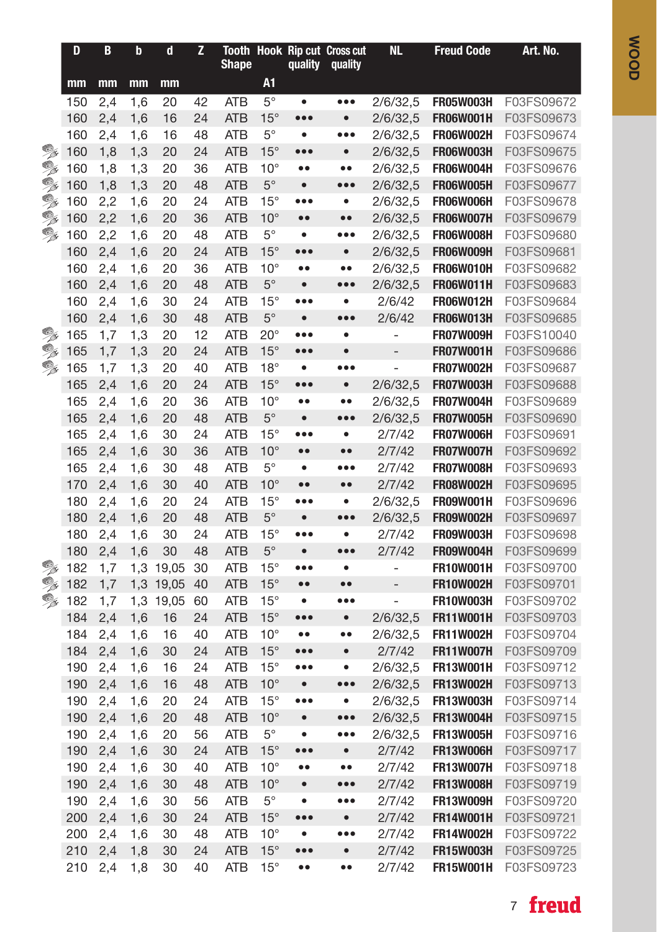|          | D          | $\, {\bf B}$ | $\mathbf b$ | $\mathbf d$ | Z        | <b>Shape</b>             |                            | quality                              | Tooth Hook Rip cut Cross cut<br>quality     | <b>NL</b>         | <b>Freud Code</b>                    | Art. No.                 |
|----------|------------|--------------|-------------|-------------|----------|--------------------------|----------------------------|--------------------------------------|---------------------------------------------|-------------------|--------------------------------------|--------------------------|
|          | mm         | mm           | mm          | mm          |          |                          | A1                         |                                      |                                             |                   |                                      |                          |
|          | 150        | 2,4          | 1,6         | 20          | 42       | ATB                      | $5^{\circ}$                | $\bullet$                            | $\bullet\bullet\bullet$                     | 2/6/32,5          | <b>FR05W003H</b>                     | F03FS09672               |
|          | 160        | 2,4          | 1,6         | 16          | 24       | <b>ATB</b>               | $15^{\circ}$               | $\bullet\bullet\bullet$              | $\bullet$                                   | 2/6/32,5          | <b>FR06W001H</b>                     | F03FS09673               |
|          | 160        | 2,4          | 1,6         | 16          | 48       | <b>ATB</b>               | $5^{\circ}$                | $\bullet$                            | $\bullet\bullet\bullet$                     | 2/6/32,5          | <b>FR06W002H</b>                     | F03FS09674               |
| °        | 160        | 1,8          | 1,3         | 20          | 24       | <b>ATB</b>               | $15^{\circ}$               | $\bullet\bullet\bullet$              | $\bullet$                                   | 2/6/32.5          | <b>FR06W003H</b>                     | F03FS09675               |
| °        | 160        | 1,8          | 1,3         | 20          | 36       | ATB                      | $10^{\circ}$               | $\bullet$                            | $\bullet$                                   | 2/6/32,5          | <b>FR06W004H</b>                     | F03FS09676               |
| °        | 160        | 1,8          | 1,3         | 20          | 48       | <b>ATB</b>               | $5^{\circ}$                | $\bullet$                            | $\bullet\bullet\bullet$                     | 2/6/32,5          | <b>FR06W005H</b>                     | F03FS09677               |
| X        | 160        | 2,2          | 1,6         | 20          | 24       | ATB                      | $15^{\circ}$               | $\bullet\bullet\bullet$              | ٠                                           | 2/6/32,5          | FR06W006H                            | F03FS09678               |
| °        | 160        | 2,2          | 1,6         | 20          | 36       | <b>ATB</b>               | $10^{\circ}$               | $\bullet\bullet$                     | $\bullet\bullet$                            | 2/6/32,5          | <b>FR06W007H</b>                     | F03FS09679               |
| °        | 160        | 2,2          | 1,6         | 20          | 48       | ATB                      | $5^{\circ}$                | $\bullet$                            | $\bullet\bullet\bullet$                     | 2/6/32,5          | <b>FR06W008H</b>                     | F03FS09680               |
|          | 160        | 2,4          | 1,6         | 20          | 24       | <b>ATB</b>               | $15^{\circ}$               | $\bullet\bullet\bullet$              | $\bullet$                                   | 2/6/32,5          | FR06W009H                            | F03FS09681               |
|          | 160        | 2,4          | 1,6         | 20          | 36       | <b>ATB</b>               | $10^{\circ}$               | $\bullet$                            | $\bullet$                                   | 2/6/32,5          | <b>FR06W010H</b>                     | F03FS09682               |
|          | 160        | 2,4          | 1,6         | 20          | 48       | <b>ATB</b>               | $5^{\circ}$                | $\bullet$                            | $\bullet\bullet\bullet$                     | 2/6/32,5          | <b>FR06W011H</b>                     | F03FS09683               |
|          | 160        | 2,4          | 1,6         | 30          | 24       | <b>ATB</b>               | $15^{\circ}$               | $\bullet\bullet\bullet$              | $\bullet$                                   | 2/6/42            | <b>FR06W012H</b>                     | F03FS09684               |
|          | 160        | 2,4          | 1,6         | 30          | 48       | <b>ATB</b>               | $5^\circ$                  | $\bullet$                            | $\bullet\bullet\bullet$                     | 2/6/42            | <b>FR06W013H</b>                     | F03FS09685               |
| °        | 165        | 1,7          | 1,3         | 20          | 12       | <b>ATB</b>               | $20^{\circ}$               | $\bullet\bullet\bullet$              | $\bullet$                                   |                   | FR07W009H                            | F03FS10040               |
| OX<br>OX | 165        | 1,7          | 1,3         | 20          | 24       | <b>ATB</b>               | $15^\circ$                 | $\bullet\bullet\bullet$              | $\bullet$                                   | $\overline{a}$    | <b>FR07W001H</b>                     | F03FS09686               |
|          | 165        | 1,7          | 1,3         | 20<br>20    | 40       | ATB                      | $18^\circ$<br>$15^{\circ}$ | $\bullet$<br>$\bullet\bullet\bullet$ | $\bullet\bullet\bullet$<br>$\bullet$        | 2/6/32,5          | <b>FR07W002H</b><br><b>FR07W003H</b> | F03FS09687               |
|          | 165        | 2,4          | 1,6         |             | 24<br>36 | <b>ATB</b>               | $10^{\circ}$               |                                      |                                             | 2/6/32.5          | <b>FR07W004H</b>                     | F03FS09688<br>F03FS09689 |
|          | 165<br>165 | 2,4<br>2,4   | 1,6<br>1,6  | 20<br>20    | 48       | <b>ATB</b><br><b>ATB</b> | $5^{\circ}$                | $\bullet\bullet$<br>$\bullet$        | $\bullet\bullet$<br>$\bullet\bullet\bullet$ | 2/6/32,5          | <b>FR07W005H</b>                     | F03FS09690               |
|          | 165        | 2,4          | 1,6         | 30          | 24       | <b>ATB</b>               | $15^{\circ}$               | $\bullet\bullet\bullet$              | ٠                                           | 2/7/42            | <b>FR07W006H</b>                     | F03FS09691               |
|          | 165        | 2,4          | 1,6         | 30          | 36       | <b>ATB</b>               | $10^{\circ}$               | $\bullet$                            | $\bullet$                                   | 2/7/42            | <b>FR07W007H</b>                     | F03FS09692               |
|          | 165        | 2,4          | 1,6         | 30          | 48       | <b>ATB</b>               | $5^{\circ}$                | $\bullet$                            | $\bullet\bullet\bullet$                     | 2/7/42            | <b>FR07W008H</b>                     | F03FS09693               |
|          | 170        | 2,4          | 1,6         | 30          | 40       | <b>ATB</b>               | $10^{\circ}$               | $\bullet$                            | $\bullet$                                   | 2/7/42            | <b>FR08W002H</b>                     | F03FS09695               |
|          | 180        | 2,4          | 1,6         | 20          | 24       | <b>ATB</b>               | $15^{\circ}$               | $\bullet\bullet\bullet$              | $\bullet$                                   | 2/6/32,5          | <b>FR09W001H</b>                     | F03FS09696               |
|          | 180        | 2,4          | 1,6         | 20          | 48       | <b>ATB</b>               | $5^{\circ}$                | $\bullet$                            | $\bullet$ $\bullet$                         | 2/6/32,5          | <b>FR09W002H</b>                     | F03FS09697               |
|          | 180        | 2,4          | 1,6         | 30          | 24       | <b>ATB</b>               | $15^{\circ}$               | $\bullet\bullet\bullet$              | $\bullet$                                   | 2/7/42            | FR09W003H                            | F03FS09698               |
|          | 180        | 2,4          | 1,6         | 30          | 48       | <b>ATB</b>               | $5^{\circ}$                | $\bullet$                            | $\bullet\bullet\bullet$                     | 2/7/42            | <b>FR09W004H</b>                     | F03FS09699               |
| °        | 182        | 1,7          | 1,3         | 19,05       | 30       | ATB                      | $15^{\circ}$               | $\bullet\bullet\bullet$              | $\bullet$                                   | $\overline{a}$    | <b>FR10W001H</b>                     | F03FS09700               |
| X        | 182        | 1,7          | 1,3         | 19,05       | 40       | <b>ATB</b>               | $15^{\circ}$               | $\bullet$                            | $\bullet$                                   | $\qquad \qquad -$ | <b>FR10W002H</b>                     | F03FS09701               |
| °        | 182        | 1,7          | 1,3         | 19,05       | 60       | ATB                      | $15^{\circ}$               | $\bullet$                            | $\bullet\bullet\bullet$                     | L,                | <b>FR10W003H</b>                     | F03FS09702               |
|          | 184        | 2,4          | 1,6         | 16          | 24       | <b>ATB</b>               | $15^{\circ}$               | $\bullet\bullet\bullet$              | $\bullet$                                   | 2/6/32,5          | <b>FR11W001H</b>                     | F03FS09703               |
|          | 184        | 2,4          | 1,6         | 16          | 40       | <b>ATB</b>               | $10^{\circ}$               | $\bullet$                            | $\bullet$                                   | 2/6/32,5          | <b>FR11W002H</b>                     | F03FS09704               |
|          | 184        | 2,4          | 1,6         | 30          | 24       | <b>ATB</b>               | $15^{\circ}$               | $\bullet\bullet\bullet$              | $\bullet$                                   | 2/7/42            | <b>FR11W007H</b>                     | F03FS09709               |
|          | 190        | 2,4          | 1,6         | 16          | 24       | ATB                      | $15^{\circ}$               | $\bullet\bullet\bullet$              | ٠                                           | 2/6/32,5          | <b>FR13W001H</b>                     | F03FS09712               |
|          | 190        | 2,4          | 1,6         | 16          | 48       | <b>ATB</b>               | $10^{\circ}$               | $\bullet$                            | $\bullet\bullet\bullet$                     | 2/6/32,5          | <b>FR13W002H</b>                     | F03FS09713               |
|          | 190        | 2,4          | 1,6         | 20          | 24       | ATB                      | $15^{\circ}$               | $\bullet\bullet\bullet$              | $\bullet$                                   | 2/6/32,5          | <b>FR13W003H</b>                     | F03FS09714               |
|          | 190        | 2,4          | 1,6         | 20          | 48       | <b>ATB</b>               | $10^{\circ}$               | $\bullet$                            | $\bullet\bullet\bullet$                     | 2/6/32,5          | <b>FR13W004H</b>                     | F03FS09715               |
|          | 190        | 2,4          | 1,6         | 20          | 56       | <b>ATB</b>               | $5^{\circ}$                | $\bullet$                            | $\bullet\bullet\bullet$                     | 2/6/32,5          | <b>FR13W005H</b>                     | F03FS09716               |
|          | 190        | 2,4          | 1,6         | 30          | 24       | <b>ATB</b>               | $15^{\circ}$               | $\bullet\bullet\bullet$              | $\bullet$                                   | 2/7/42            | <b>FR13W006H</b>                     | F03FS09717               |
|          | 190        | 2,4          | 1,6         | 30          | 40       | <b>ATB</b>               | $10^{\circ}$               | $\bullet\bullet$                     | $\bullet\bullet$                            | 2/7/42            | <b>FR13W007H</b>                     | F03FS09718               |
|          | 190        | 2,4          | 1,6         | 30          | 48       | <b>ATB</b>               | $10^{\circ}$               | $\bullet$                            | $\bullet\bullet\bullet$                     | 2/7/42            | <b>FR13W008H</b>                     | F03FS09719               |
|          | 190        | 2,4          | 1,6         | 30          | 56       | <b>ATB</b>               | $5^{\circ}$                | ٠                                    | $\bullet\bullet\bullet$                     | 2/7/42            | <b>FR13W009H</b>                     | F03FS09720               |
|          | 200        | 2,4          | 1,6         | 30          | 24       | <b>ATB</b>               | $15^\circ$                 | $\bullet\bullet\bullet$              | $\bullet$                                   | 2/7/42            | <b>FR14W001H</b>                     | F03FS09721               |
|          | 200        | 2,4          | 1,6         | 30          | 48       | <b>ATB</b>               | $10^{\circ}$               |                                      | $\bullet\bullet\bullet$                     | 2/7/42            | <b>FR14W002H</b>                     | F03FS09722               |
|          | 210        | 2,4          | 1,8         | 30          | 24       | ATB                      | $15^{\circ}$               | $\bullet\bullet\bullet$              | $\bullet$                                   | 2/7/42            | <b>FR15W003H</b>                     | F03FS09725               |
|          | 210        | 2,4          | 1,8         | 30          | 40       | <b>ATB</b>               | $15^{\circ}$               | $\bullet\,\bullet$                   | $\bullet\bullet$                            | 2/7/42            | <b>FR15W001H</b>                     | F03FS09723               |

## <sup>7</sup> freud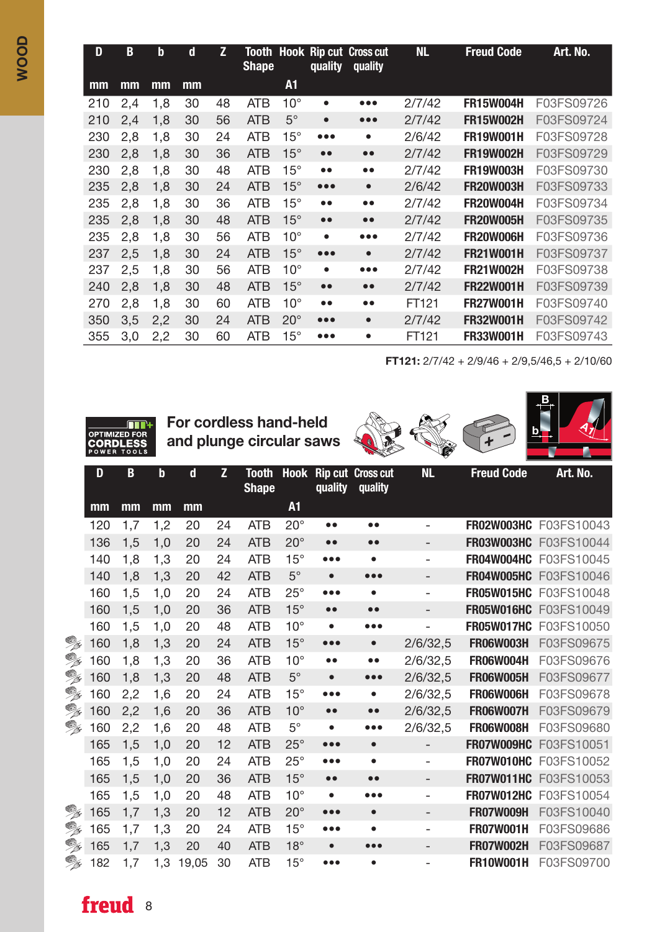| D   | B   | b   | d  | Z  | <b>Shape</b> |              | quality                   | <b>Tooth Hook Rip cut Cross cut</b><br>quality | <b>NL</b> | <b>Freud Code</b> | Art. No.   |
|-----|-----|-----|----|----|--------------|--------------|---------------------------|------------------------------------------------|-----------|-------------------|------------|
| mm  | mm  | mm  | mm |    |              | A1           |                           |                                                |           |                   |            |
| 210 | 2,4 | 1,8 | 30 | 48 | <b>ATB</b>   | $10^{\circ}$ | ٠                         | $\bullet\bullet\bullet$                        | 2/7/42    | <b>FR15W004H</b>  | F03FS09726 |
| 210 | 2,4 | 1.8 | 30 | 56 | <b>ATB</b>   | $5^\circ$    | $\bullet$                 | $\bullet\bullet\bullet$                        | 2/7/42    | <b>FR15W002H</b>  | F03FS09724 |
| 230 | 2,8 | 1,8 | 30 | 24 | <b>ATB</b>   | $15^{\circ}$ | $\bullet \bullet \bullet$ | $\bullet$                                      | 2/6/42    | <b>FR19W001H</b>  | F03FS09728 |
| 230 | 2,8 | 1,8 | 30 | 36 | <b>ATB</b>   | $15^{\circ}$ | $\bullet\bullet$          | $\bullet\bullet$                               | 2/7/42    | <b>FR19W002H</b>  | F03FS09729 |
| 230 | 2,8 | 1,8 | 30 | 48 | <b>ATB</b>   | $15^{\circ}$ | $\bullet\bullet$          | $\bullet$                                      | 2/7/42    | <b>FR19W003H</b>  | F03FS09730 |
| 235 | 2,8 | 1,8 | 30 | 24 | <b>ATB</b>   | $15^{\circ}$ | $\bullet\bullet\bullet$   | $\bullet$                                      | 2/6/42    | <b>FR20W003H</b>  | F03FS09733 |
| 235 | 2,8 | 1,8 | 30 | 36 | <b>ATB</b>   | $15^{\circ}$ | $\bullet\bullet$          | $\bullet$                                      | 2/7/42    | <b>FR20W004H</b>  | F03FS09734 |
| 235 | 2,8 | 1.8 | 30 | 48 | <b>ATB</b>   | $15^\circ$   | $\bullet\bullet$          | $\bullet\bullet$                               | 2/7/42    | <b>FR20W005H</b>  | F03FS09735 |
| 235 | 2,8 | 1.8 | 30 | 56 | <b>ATB</b>   | $10^{\circ}$ | $\bullet$                 | $\bullet\bullet\bullet$                        | 2/7/42    | <b>FR20W006H</b>  | F03FS09736 |
| 237 | 2,5 | 1.8 | 30 | 24 | <b>ATB</b>   | $15^\circ$   | $\bullet\bullet\bullet$   | $\bullet$                                      | 2/7/42    | <b>FR21W001H</b>  | F03FS09737 |
| 237 | 2,5 | 1,8 | 30 | 56 | <b>ATB</b>   | $10^{\circ}$ | $\bullet$                 | $\bullet\bullet\bullet$                        | 2/7/42    | <b>FR21W002H</b>  | F03FS09738 |
| 240 | 2,8 | 1.8 | 30 | 48 | <b>ATB</b>   | $15^{\circ}$ | $\bullet\bullet$          | $\bullet\bullet$                               | 2/7/42    | <b>FR22W001H</b>  | F03FS09739 |
| 270 | 2,8 | 1,8 | 30 | 60 | <b>ATB</b>   | $10^{\circ}$ | $\bullet\bullet$          | $\bullet$                                      | FT121     | <b>FR27W001H</b>  | F03FS09740 |
| 350 | 3,5 | 2,2 | 30 | 24 | <b>ATB</b>   | $20^{\circ}$ |                           | $\bullet$                                      | 2/7/42    | <b>FR32W001H</b>  | F03FS09742 |
| 355 | 3,0 | 2,2 | 30 | 60 | <b>ATB</b>   | $15^{\circ}$ | $\bullet\bullet\bullet$   | ٠                                              | FT121     | <b>FR33W001H</b>  | F03FS09743 |

FT121: 2/7/42 + 2/9/46 + 2/9,5/46,5 + 2/10/60

B

 $\mathbf{b}$   $\mathbf{a}$   $\mathbf{b}$ 



For cordless hand-held and plunge circular saws

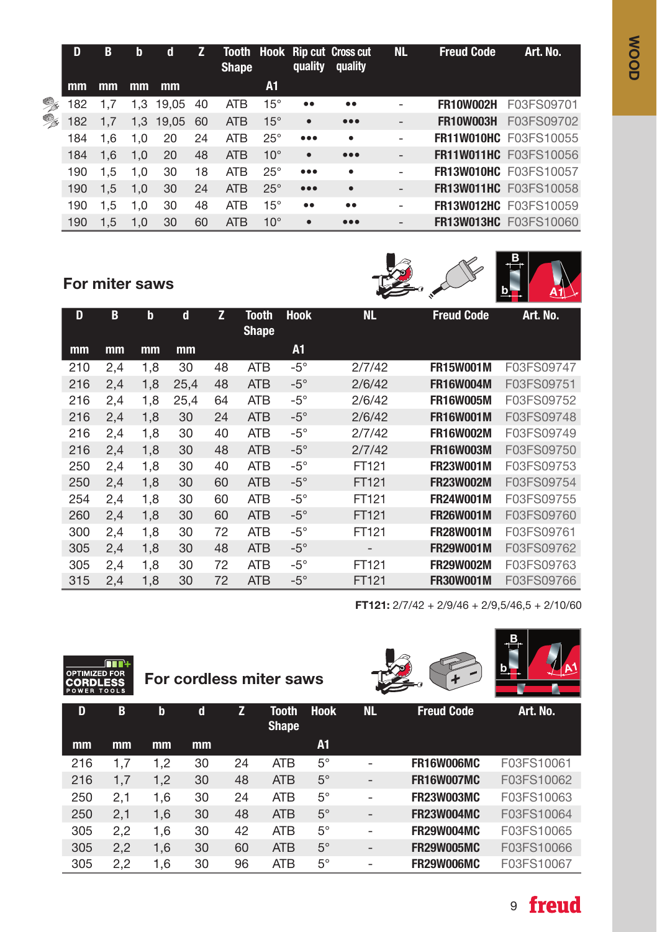|    | D   | B   | b   | d            |     | <b>Shape</b> |              | quality                 | Tooth Hook Rip cut Cross cut<br>quality | <b>NL</b>                | <b>Freud Code</b> | Art. No.                     |
|----|-----|-----|-----|--------------|-----|--------------|--------------|-------------------------|-----------------------------------------|--------------------------|-------------------|------------------------------|
|    | mm  | mm  | mm  | mm           |     |              | A1           |                         |                                         |                          |                   |                              |
| °  | 182 |     |     | 1,3 19,05    | -40 | <b>ATB</b>   | $15^\circ$   | $\bullet\bullet$        | $\bullet\bullet$                        | $\overline{\phantom{0}}$ |                   | <b>FR10W002H F03FS09701</b>  |
| °≈ | 182 | 1,7 |     | 1,3 19,05 60 |     | <b>ATB</b>   | $15^{\circ}$ | $\bullet$               | $\bullet\bullet\bullet$                 | -                        | FR10W003H         | F03FS09702                   |
|    | 184 | 1.6 | 1.0 | 20           | 24  | <b>ATB</b>   | $25^\circ$   | $\bullet\bullet\bullet$ | $\bullet$                               | -                        |                   | <b>FR11W010HC</b> F03FS10055 |
|    | 184 | 1.6 | 1.0 | 20           | 48  | <b>ATB</b>   | $10^{\circ}$ | $\bullet$               | $\bullet\bullet\bullet$                 | $\overline{\phantom{0}}$ |                   | <b>FR11W011HC</b> F03FS10056 |
|    | 190 | 1.5 | 1.0 | 30           | 18  | <b>ATB</b>   | $25^\circ$   | $\bullet\bullet\bullet$ | $\bullet$                               | -                        |                   | <b>FR13W010HC F03FS10057</b> |
|    | 190 | 1.5 | 1.0 | 30           | 24  | <b>ATB</b>   | $25^\circ$   | $\bullet\bullet\bullet$ | $\bullet$                               | -                        |                   | <b>FR13W011HC</b> F03FS10058 |
|    | 190 | 1.5 | 1.0 | 30           | 48  | <b>ATB</b>   | $15^\circ$   | $\bullet\bullet$        | $\bullet\bullet$                        | -                        |                   | <b>FR13W012HC</b> F03FS10059 |
|    | 190 | 1.5 | 1.0 | 30           | 60  | <b>ATB</b>   | $10^{\circ}$ | $\bullet$               | $\bullet\bullet\bullet$                 | -                        |                   | <b>FR13W013HC F03FS10060</b> |

### For miter saws



| D   | B   | $\mathbf b$ | d    | z  | Tooth<br><b>Shape</b> | <b>Hook</b> | <b>NL</b> | <b>Freud Code</b> | Art. No.   |
|-----|-----|-------------|------|----|-----------------------|-------------|-----------|-------------------|------------|
| mm  | mm  | mm          | mm   |    |                       | A1          |           |                   |            |
| 210 | 2,4 | 1,8         | 30   | 48 | <b>ATB</b>            | $-5^\circ$  | 2/7/42    | <b>FR15W001M</b>  | F03FS09747 |
| 216 | 2,4 | 1,8         | 25,4 | 48 | <b>ATB</b>            | $-5^\circ$  | 2/6/42    | <b>FR16W004M</b>  | F03FS09751 |
| 216 | 2,4 | 1,8         | 25,4 | 64 | <b>ATB</b>            | $-5^\circ$  | 2/6/42    | <b>FR16W005M</b>  | F03FS09752 |
| 216 | 2,4 | 1,8         | 30   | 24 | <b>ATB</b>            | $-5^\circ$  | 2/6/42    | <b>FR16W001M</b>  | F03FS09748 |
| 216 | 2,4 | 1,8         | 30   | 40 | <b>ATB</b>            | $-5^\circ$  | 2/7/42    | <b>FR16W002M</b>  | F03FS09749 |
| 216 | 2,4 | 1,8         | 30   | 48 | <b>ATB</b>            | $-5^\circ$  | 2/7/42    | <b>FR16W003M</b>  | F03FS09750 |
| 250 | 2,4 | 1,8         | 30   | 40 | <b>ATB</b>            | $-5^\circ$  | FT121     | <b>FR23W001M</b>  | F03FS09753 |
| 250 | 2,4 | 1,8         | 30   | 60 | <b>ATB</b>            | $-5^\circ$  | FT121     | <b>FR23W002M</b>  | F03FS09754 |
| 254 | 2,4 | 1,8         | 30   | 60 | <b>ATB</b>            | $-5^\circ$  | FT121     | <b>FR24W001M</b>  | F03FS09755 |
| 260 | 2,4 | 1,8         | 30   | 60 | <b>ATB</b>            | $-5^\circ$  | FT121     | <b>FR26W001M</b>  | F03FS09760 |
| 300 | 2,4 | 1,8         | 30   | 72 | <b>ATB</b>            | $-5^\circ$  | FT121     | <b>FR28W001M</b>  | F03FS09761 |
| 305 | 2,4 | 1,8         | 30   | 48 | <b>ATB</b>            | $-5^\circ$  | -         | <b>FR29W001M</b>  | F03FS09762 |
| 305 | 2,4 | 1,8         | 30   | 72 | <b>ATB</b>            | $-5^\circ$  | FT121     | <b>FR29W002M</b>  | F03FS09763 |
| 315 | 2,4 | 1,8         | 30   | 72 | <b>ATB</b>            | $-5^\circ$  | FT121     | <b>FR30W001M</b>  | F03FS09766 |

FT121: 2/7/42 + 2/9/46 + 2/9,5/46,5 + 2/10/60

| <b>OPTIMIZED FOR</b><br><b>CORDLESS</b><br><b>POWER TOOLS</b> | HH + |             |    |    | For cordless miter saws      |             |    | $\ddot{+}$        |            |
|---------------------------------------------------------------|------|-------------|----|----|------------------------------|-------------|----|-------------------|------------|
| D                                                             | B    | $\mathbf b$ | d  | z  | <b>Tooth</b><br><b>Shape</b> | <b>Hook</b> | NL | <b>Freud Code</b> | Art. No.   |
| mm                                                            | $mm$ | mm          | mm |    |                              | A1          |    |                   |            |
| 216                                                           | 1,7  | 1,2         | 30 | 24 | <b>ATB</b>                   | $5^{\circ}$ |    | <b>FR16W006MC</b> | F03FS10061 |
| 216                                                           | 1,7  | 1,2         | 30 | 48 | <b>ATB</b>                   | $5^{\circ}$ | -  | <b>FR16W007MC</b> | F03FS10062 |
| 250                                                           | 2,1  | 1,6         | 30 | 24 | <b>ATB</b>                   | $5^{\circ}$ | -  | <b>FR23W003MC</b> | F03FS10063 |
| 250                                                           | 2,1  | 1,6         | 30 | 48 | <b>ATB</b>                   | $5^{\circ}$ | -  | <b>FR23W004MC</b> | F03FS10064 |
| 305                                                           | 2,2  | 1,6         | 30 | 42 | <b>ATB</b>                   | $5^{\circ}$ | -  | <b>FR29W004MC</b> | F03FS10065 |
| 305                                                           | 2,2  | 1,6         | 30 | 60 | <b>ATB</b>                   | $5^\circ$   | -  | <b>FR29W005MC</b> | F03FS10066 |
| 305                                                           | 2,2  | 1,6         | 30 | 96 | <b>ATB</b>                   | $5^{\circ}$ | -  | <b>FR29W006MC</b> | F03FS10067 |



 $\overline{\mathbf{B}}$